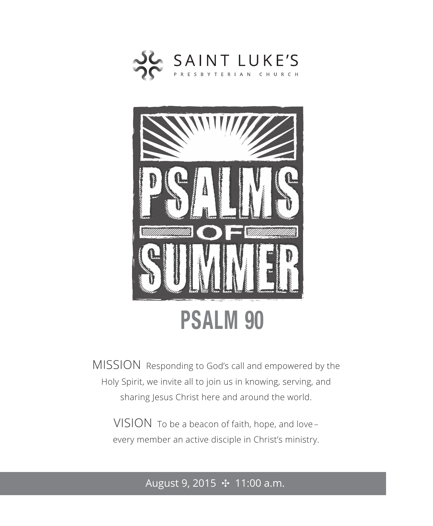



MISSION Responding to God's call and empowered by the Holy Spirit, we invite all to join us in knowing, serving, and sharing Jesus Christ here and around the world.

VISION To be a beacon of faith, hope, and love – every member an active disciple in Christ's ministry.

# August 9, 2015 ✣ 11:00 a.m.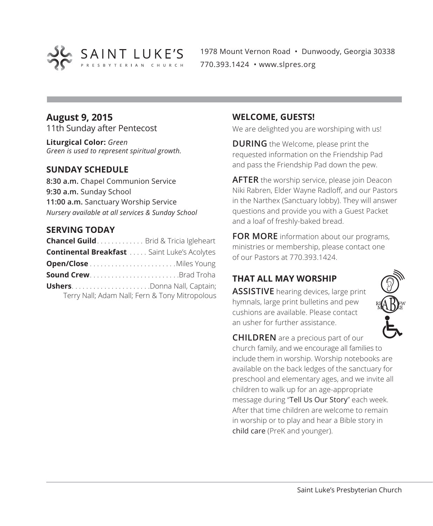

1978 Mount Vernon Road • Dunwoody, Georgia 30338 770.393.1424 • www.slpres.org

# **August 9, 2015**

11th Sunday after Pentecost

**Liturgical Color:** *Green Green is used to represent spiritual growth.* 

### **SUNDAY SCHEDULE**

**8:30 a.m.** Chapel Communion Service **9:30 a.m.** Sunday School **11:00 a.m.** Sanctuary Worship Service *Nursery available at all services & Sunday School*

### **SERVING TODAY**

| <b>Chancel Guild</b> Brid & Tricia Igleheart        |  |
|-----------------------------------------------------|--|
| <b>Continental Breakfast </b> Saint Luke's Acolytes |  |
|                                                     |  |
| <b>Sound CrewBrad Troha</b>                         |  |
|                                                     |  |
| Terry Nall; Adam Nall; Fern & Tony Mitropolous      |  |

### **WELCOME, GUESTS!**

We are delighted you are worshiping with us!

**DURING** the Welcome, please print the requested information on the Friendship Pad and pass the Friendship Pad down the pew.

**AFTER** the worship service, please join Deacon Niki Rabren, Elder Wayne Radloff, and our Pastors in the Narthex (Sanctuary lobby). They will answer questions and provide you with a Guest Packet and a loaf of freshly-baked bread.

**FOR MORE** information about our programs, ministries or membership, please contact one of our Pastors at 770.393.1424.

# **THAT ALL MAY WORSHIP**

**ASSISTIVE** hearing devices, large print hymnals, large print bulletins and pew cushions are available. Please contact an usher for further assistance.

 $\mathbb{B}$ **CHILDREN** are a precious part of our church family, and we encourage all families to include them in worship. Worship notebooks are available on the back ledges of the sanctuary for preschool and elementary ages, and we invite all children to walk up for an age-appropriate message during "Tell Us Our Story" each week. After that time children are welcome to remain in worship or to play and hear a Bible story in child care (PreK and younger).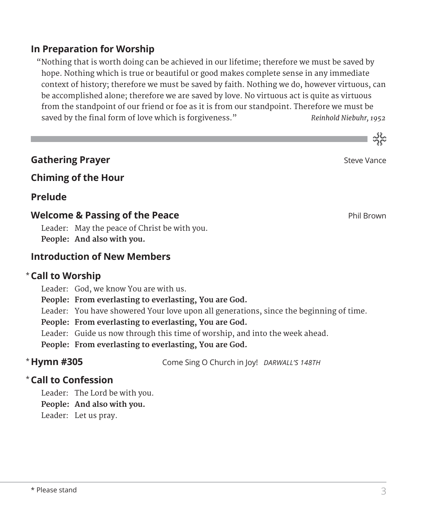### $\star$  Please stand 3

### **In Preparation for Worship**

 "Nothing that is worth doing can be achieved in our lifetime; therefore we must be saved by hope. Nothing which is true or beautiful or good makes complete sense in any immediate context of history; therefore we must be saved by faith. Nothing we do, however virtuous, can be accomplished alone; therefore we are saved by love. No virtuous act is quite as virtuous from the standpoint of our friend or foe as it is from our standpoint. Therefore we must be saved by the final form of love which is forgiveness." **Reinhold Niebuhr**, 1952

# **Gathering Prayer** Steve Vance

### **Chiming of the Hour**

### **Prelude**

### **Welcome & Passing of the Peace Access Phil Brown Phil Brown**

Leader: May the peace of Christ be with you. **People: And also with you.**

### **Introduction of New Members**

### **Call to Worship** \*

Leader: God, we know You are with us.

**People: From everlasting to everlasting, You are God.**

Leader: You have showered Your love upon all generations, since the beginning of time.

**People: From everlasting to everlasting, You are God.**

Leader: Guide us now through this time of worship, and into the week ahead.

**People: From everlasting to everlasting, You are God.**

# \* Hymn #305

**Hymn #305** Come Sing O Church in Joy! *DARWALL'S 148TH*

# **Call to Confession**  \*

Leader: The Lord be with you.

**People: And also with you.**

Leader: Let us pray.

ے<br>مہ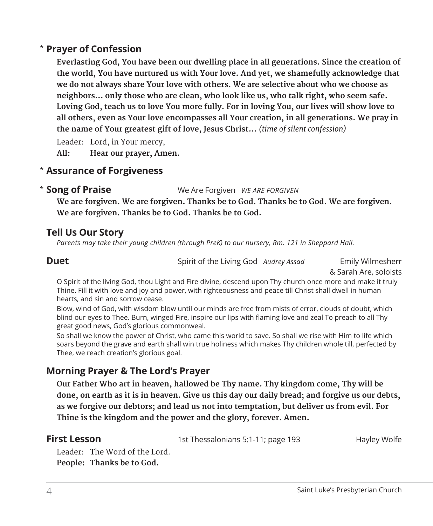# **Prayer of Confession**  \*

 **Everlasting God, You have been our dwelling place in all generations. Since the creation of the world, You have nurtured us with Your love. And yet, we shamefully acknowledge that we do not always share Your love with others. We are selective about who we choose as neighbors… only those who are clean, who look like us, who talk right, who seem safe. Loving God, teach us to love You more fully. For in loving You, our lives will show love to all others, even as Your love encompasses all Your creation, in all generations. We pray in the name of Your greatest gift of love, Jesus Christ...** *(time of silent confession)*

Leader: Lord, in Your mercy, **All: Hear our prayer, Amen.**

# **Assurance of Forgiveness** \*

### \* Song of Praise

**Song of Praise** We Are Forgiven *WE ARE FORGIVEN*

 **We are forgiven. We are forgiven. Thanks be to God. Thanks be to God. We are forgiven. We are forgiven. Thanks be to God. Thanks be to God.**

# **Tell Us Our Story**

*Parents may take their young children (through PreK) to our nursery, Rm. 121 in Sheppard Hall.* 

**Duet** Spirit of the Living God *Audrey Assad* Emily Wilmesherr

& Sarah Are, soloists

O Spirit of the living God, thou Light and Fire divine, descend upon Thy church once more and make it truly Thine. Fill it with love and joy and power, with righteousness and peace till Christ shall dwell in human hearts, and sin and sorrow cease.

 Blow, wind of God, with wisdom blow until our minds are free from mists of error, clouds of doubt, which blind our eyes to Thee. Burn, winged Fire, inspire our lips with flaming love and zeal To preach to all Thy great good news, God's glorious commonweal.

 So shall we know the power of Christ, who came this world to save. So shall we rise with Him to life which soars beyond the grave and earth shall win true holiness which makes Thy children whole till, perfected by Thee, we reach creation's glorious goal.

# **Morning Prayer & The Lord's Prayer**

 **Our Father Who art in heaven, hallowed be Thy name. Thy kingdom come, Thy will be done, on earth as it is in heaven. Give us this day our daily bread; and forgive us our debts, as we forgive our debtors; and lead us not into temptation, but deliver us from evil. For Thine is the kingdom and the power and the glory, forever. Amen.**

**First Lesson** 1st Thessalonians 5:1-11; page 193 Hayley Wolfe

Leader: The Word of the Lord. **People: Thanks be to God.**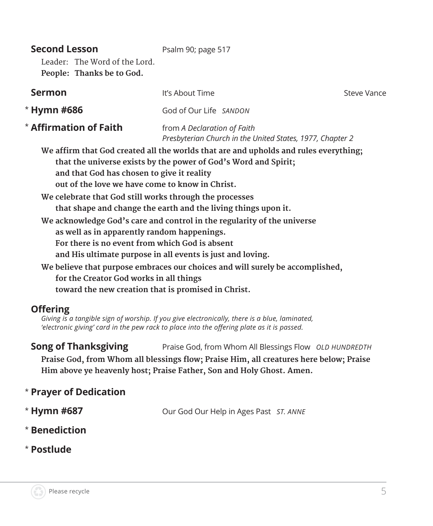| <b>Second Lesson</b>                                       | Psalm 90; page 517                                                                                                                                      |             |
|------------------------------------------------------------|---------------------------------------------------------------------------------------------------------------------------------------------------------|-------------|
| Leader: The Word of the Lord.<br>People: Thanks be to God. |                                                                                                                                                         |             |
| <b>Sermon</b>                                              | It's About Time                                                                                                                                         | Steve Vance |
| * Hymn #686                                                | God of Our Life SANDON                                                                                                                                  |             |
| $^\star$ Affirmation of Faith                              | from A Declaration of Faith<br>Presbyterian Church in the United States, 1977, Chapter 2                                                                |             |
|                                                            | We affirm that God created all the worlds that are and upholds and rules everything;<br>that the universe exists by the power of God's Word and Spirit; |             |

**and that God has chosen to give it reality** 

**out of the love we have come to know in Christ.**

**We celebrate that God still works through the processes that shape and change the earth and the living things upon it.**

**We acknowledge God's care and control in the regularity of the universe as well as in apparently random happenings.** 

**For there is no event from which God is absent** 

**and His ultimate purpose in all events is just and loving.**

**We believe that purpose embraces our choices and will surely be accomplished, for the Creator God works in all things toward the new creation that is promised in Christ.**

# **Offering**

*Giving is a tangible sign of worship. If you give electronically, there is a blue, laminated, 'electronic giving' card in the pew rack to place into the offering plate as it is passed.* 

**Song of Thanksgiving** Praise God, from Whom All Blessings Flow *OLD HUNDREDTH* **Praise God, from Whom all blessings flow; Praise Him, all creatures here below; Praise Him above ye heavenly host; Praise Father, Son and Holy Ghost. Amen.**

- \* **Prayer of Dedication**
- \* Hymn #687

**Hymn #687** Our God Our Help in Ages Past *ST. ANNE*

- \* **Benediction**
- \* **Postlude**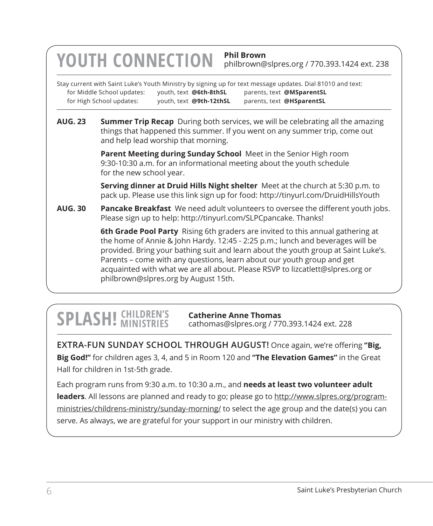# **YOUTH CONNECTION Phil Brown**

philbrown@slpres.org / 770.393.1424 ext. 238

Stay current with Saint Luke's Youth Ministry by signing up for text message updates. Dial 81010 and text: for Middle School updates: youth, text **@6th-8thSL** parents, text **@MSparentSL** for High School updates: youth, text **@9th-12thSL** parents, text **@HSparentSL**

**AUG. 23 Summer Trip Recap** During both services, we will be celebrating all the amazing things that happened this summer. If you went on any summer trip, come out and help lead worship that morning.

> **Parent Meeting during Sunday School** Meet in the Senior High room 9:30-10:30 a.m. for an informational meeting about the youth schedule for the new school year.

**Serving dinner at Druid Hills Night shelter** Meet at the church at 5:30 p.m. to pack up. Please use this link sign up for food: http://tinyurl.com/DruidHillsYouth

**AUG. 30 Pancake Breakfast** We need adult volunteers to oversee the different youth jobs. Please sign up to help: http://tinyurl.com/SLPCpancake. Thanks!

> **6th Grade Pool Party** Rising 6th graders are invited to this annual gathering at the home of Annie & John Hardy. 12:45 - 2:25 p.m.; lunch and beverages will be provided. Bring your bathing suit and learn about the youth group at Saint Luke's. Parents – come with any questions, learn about our youth group and get acquainted with what we are all about. Please RSVP to lizcatlett@slpres.org or philbrown@slpres.org by August 15th.

# **SPLASH!** CHILDREN'S

**Catherine Anne Thomas** cathomas@slpres.org / 770.393.1424 ext. 228

**EXTRA-FUN SUNDAY SCHOOL THROUGH AUGUST!** Once again, we're offering **"Big, Big God!"** for children ages 3, 4, and 5 in Room 120 and **"The Elevation Games"** in the Great Hall for children in 1st-5th grade.

Each program runs from 9:30 a.m. to 10:30 a.m., and **needs at least two volunteer adult leaders**. All lessons are planned and ready to go; please go to http://www.slpres.org/programministries/childrens-ministry/sunday-morning/ to select the age group and the date(s) you can serve. As always, we are grateful for your support in our ministry with children.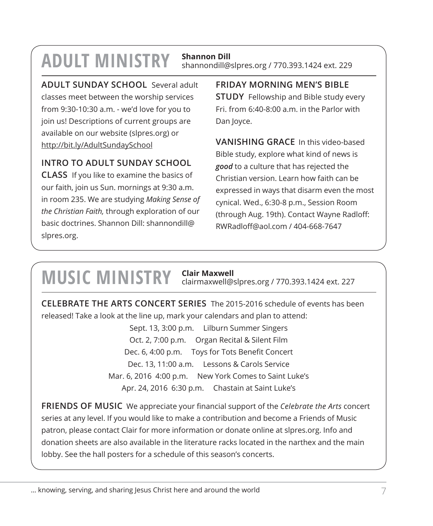# **ADULT MINISTRY Shannon Dill**

shannondill@slpres.org / 770.393.1424 ext. 229

**ADULT SUNDAY SCHOOL** Several adult classes meet between the worship services from 9:30-10:30 a.m. - we'd love for you to join us! Descriptions of current groups are available on our website (slpres.org) or http://bit.ly/AdultSundaySchool

# **INTRO TO ADULT SUNDAY SCHOOL**

**CLASS** If you like to examine the basics of our faith, join us Sun. mornings at 9:30 a.m. in room 235. We are studying *Making Sense of the Christian Faith,* through exploration of our basic doctrines. Shannon Dill: shannondill@ slpres.org.

**FRIDAY MORNING MEN'S BIBLE STUDY** Fellowship and Bible study every Fri. from 6:40-8:00 a.m. in the Parlor with Dan Joyce.

**VANISHING GRACE** In this video-based Bible study, explore what kind of news is *good* to a culture that has rejected the Christian version. Learn how faith can be expressed in ways that disarm even the most cynical. Wed., 6:30-8 p.m., Session Room (through Aug. 19th). Contact Wayne Radloff: RWRadloff@aol.com / 404-668-7647

# **MUSIC MINISTRY Clair Maxwell** clairmaxwell@slpres.org / 770.393.1424 ext. 227

**CELEBRATE THE ARTS CONCERT SERIES** The 2015-2016 schedule of events has been released! Take a look at the line up, mark your calendars and plan to attend:

> Sept. 13, 3:00 p.m. Lilburn Summer Singers Oct. 2, 7:00 p.m. Organ Recital & Silent Film Dec. 6, 4:00 p.m. Toys for Tots Benefit Concert Dec. 13, 11:00 a.m. Lessons & Carols Service Mar. 6, 2016 4:00 p.m. New York Comes to Saint Luke's Apr. 24, 2016 6:30 p.m. Chastain at Saint Luke's

**FRIENDS OF MUSIC** We appreciate your financial support of the *Celebrate the Arts* concert series at any level. If you would like to make a contribution and become a Friends of Music patron, please contact Clair for more information or donate online at slpres.org. Info and donation sheets are also available in the literature racks located in the narthex and the main lobby. See the hall posters for a schedule of this season's concerts.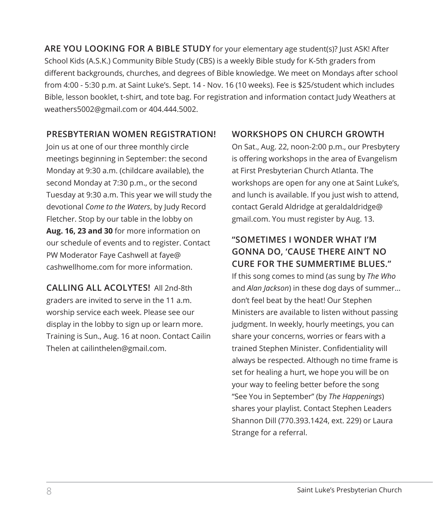**ARE YOU LOOKING FOR A BIBLE STUDY** for your elementary age student(s)? Just ASK! After School Kids (A.S.K.) Community Bible Study (CBS) is a weekly Bible study for K-5th graders from different backgrounds, churches, and degrees of Bible knowledge. We meet on Mondays after school from 4:00 - 5:30 p.m. at Saint Luke's. Sept. 14 - Nov. 16 (10 weeks). Fee is \$25/student which includes Bible, lesson booklet, t-shirt, and tote bag. For registration and information contact Judy Weathers at weathers5002@gmail.com or 404.444.5002.

### **PRESBYTERIAN WOMEN REGISTRATION!**

Join us at one of our three monthly circle meetings beginning in September: the second Monday at 9:30 a.m. (childcare available), the second Monday at 7:30 p.m., or the second Tuesday at 9:30 a.m. This year we will study the devotional *Come to the Waters*, by Judy Record Fletcher. Stop by our table in the lobby on **Aug. 16, 23 and 30** for more information on our schedule of events and to register. Contact PW Moderator Faye Cashwell at faye@ cashwellhome.com for more information.

**CALLING ALL ACOLYTES!** All 2nd-8th graders are invited to serve in the 11 a.m. worship service each week. Please see our display in the lobby to sign up or learn more. Training is Sun., Aug. 16 at noon. Contact Cailin Thelen at cailinthelen@gmail.com.

### **WORKSHOPS ON CHURCH GROWTH**

On Sat., Aug. 22, noon-2:00 p.m., our Presbytery is offering workshops in the area of Evangelism at First Presbyterian Church Atlanta. The workshops are open for any one at Saint Luke's, and lunch is available. If you just wish to attend, contact Gerald Aldridge at geraldaldridge@ gmail.com. You must register by Aug. 13.

# **"SOMETIMES I WONDER WHAT I'M GONNA DO, 'CAUSE THERE AIN'T NO CURE FOR THE SUMMERTIME BLUES."**

If this song comes to mind (as sung by *The Who* and *Alan Jackson*) in these dog days of summer… don't feel beat by the heat! Our Stephen Ministers are available to listen without passing judgment. In weekly, hourly meetings, you can share your concerns, worries or fears with a trained Stephen Minister. Confidentiality will always be respected. Although no time frame is set for healing a hurt, we hope you will be on your way to feeling better before the song "See You in September" (by *The Happenings*) shares your playlist. Contact Stephen Leaders Shannon Dill (770.393.1424, ext. 229) or Laura Strange for a referral.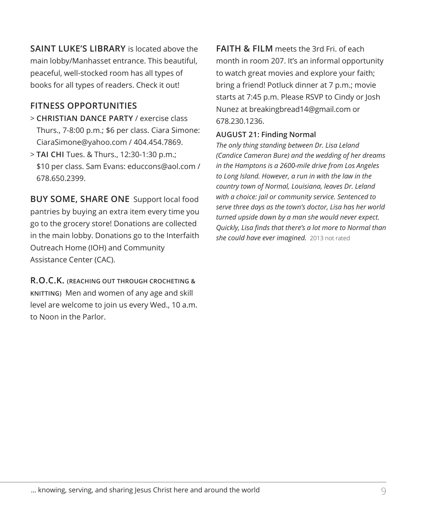**SAINT LUKE'S LIBRARY** is located above the main lobby/Manhasset entrance. This beautiful, peaceful, well-stocked room has all types of books for all types of readers. Check it out!

## **FITNESS OPPORTUNITIES**

- > **CHRISTIAN DANCE PARTY** / exercise class Thurs., 7-8:00 p.m.; \$6 per class. Ciara Simone: CiaraSimone@yahoo.com / 404.454.7869.
- > **TAI CHI** Tues. & Thurs., 12:30-1:30 p.m.; \$10 per class. Sam Evans: educcons@aol.com / 678.650.2399.

**BUY SOME, SHARE ONE** Support local food pantries by buying an extra item every time you go to the grocery store! Donations are collected in the main lobby. Donations go to the Interfaith Outreach Home (IOH) and Community Assistance Center (CAC).

**R.O.C.K. (REACHING OUT THROUGH CROCHETING & KNITTING)** Men and women of any age and skill level are welcome to join us every Wed., 10 a.m. to Noon in the Parlor.

**FAITH & FILM** meets the 3rd Fri. of each month in room 207. It's an informal opportunity to watch great movies and explore your faith; bring a friend! Potluck dinner at 7 p.m.; movie starts at 7:45 p.m. Please RSVP to Cindy or Josh Nunez at breakingbread14@gmail.com or 678.230.1236.

### **AUGUST 21: Finding Normal**

*The only thing standing between Dr. Lisa Leland (Candice Cameron Bure) and the wedding of her dreams in the Hamptons is a 2600-mile drive from Los Angeles to Long Island. However, a run in with the law in the country town of Normal, Louisiana, leaves Dr. Leland with a choice: jail or community service. Sentenced to serve three days as the town's doctor, Lisa has her world turned upside down by a man she would never expect. Quickly, Lisa finds that there's a lot more to Normal than she could have ever imagined.* 2013 not rated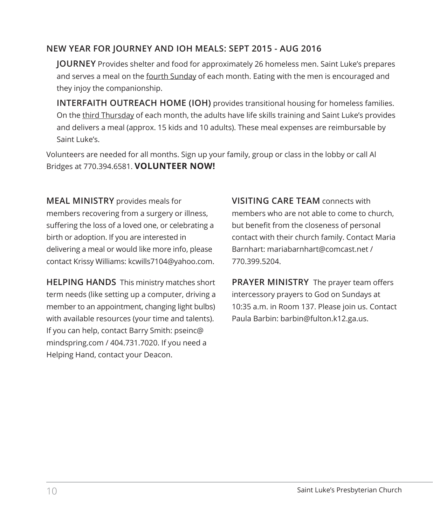## **NEW YEAR FOR JOURNEY AND IOH MEALS: SEPT 2015 - AUG 2016**

 **JOURNEY** Provides shelter and food for approximately 26 homeless men. Saint Luke's prepares and serves a meal on the fourth Sunday of each month. Eating with the men is encouraged and they injoy the companionship.

 **INTERFAITH OUTREACH HOME (IOH)** provides transitional housing for homeless families. On the third Thursday of each month, the adults have life skills training and Saint Luke's provides and delivers a meal (approx. 15 kids and 10 adults). These meal expenses are reimbursable by Saint Luke's.

Volunteers are needed for all months. Sign up your family, group or class in the lobby or call Al Bridges at 770.394.6581. **VOLUNTEER NOW!**

**MEAL MINISTRY** provides meals for members recovering from a surgery or illness, suffering the loss of a loved one, or celebrating a birth or adoption. If you are interested in delivering a meal or would like more info, please contact Krissy Williams: kcwills7104@yahoo.com.

**HELPING HANDS** This ministry matches short term needs (like setting up a computer, driving a member to an appointment, changing light bulbs) with available resources (your time and talents). If you can help, contact Barry Smith: pseinc@ mindspring.com / 404.731.7020. If you need a Helping Hand, contact your Deacon.

**VISITING CARE TEAM** connects with members who are not able to come to church, but benefit from the closeness of personal contact with their church family. Contact Maria Barnhart: mariabarnhart@comcast.net / 770.399.5204.

**PRAYER MINISTRY** The prayer team offers intercessory prayers to God on Sundays at 10:35 a.m. in Room 137. Please join us. Contact Paula Barbin: barbin@fulton.k12.ga.us.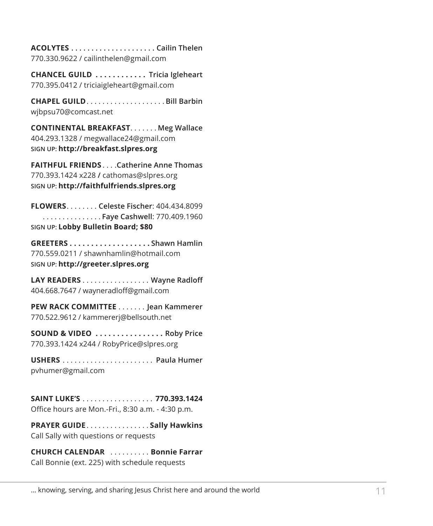**ACOLYTES. . Cailin Thelen** 770.330.9622 / cailinthelen@gmail.com

**CHANCEL GUILD . . . . . . . . . . . . Tricia Igleheart** 770.395.0412 / triciaigleheart@gmail.com

**CHAPEL GUILD**. **Bill Barbin** wjbpsu70@comcast.net

**CONTINENTAL BREAKFAST. . . . . . . Meg Wallace** 404.293.1328 / megwallace24@gmail.com **SIGN UP: http://breakfast.slpres.org**

**FAITHFUL FRIENDS**. **Catherine Anne Thomas** 770.393.1424 x228 **/** cathomas@slpres.org **SIGN UP: http://faithfulfriends.slpres.org**

**FLOWERS**. . **Celeste Fischer**: 404.434.8099 . **Faye Cashwell**: 770.409.1960 **SIGN UP: Lobby Bulletin Board; \$80**

**GREETERS . . . . . . . . . . . . . . . . . . Shawn Hamlin** 770.559.0211 / shawnhamlin@hotmail.com **SIGN UP: http://greeter.slpres.org**

LAY READERS . . . . . . . . . . . . . . . . Wayne Radloff 404.668.7647 / wayneradloff@gmail.com

**PEW RACK COMMITTEE**. . **Jean Kammerer** 770.522.9612 / kammererj@bellsouth.net

**SOUND & VIDEO . . . . . . . . . . . . . . . . Roby Price** 770.393.1424 x244 / RobyPrice@slpres.org

**USHERS**. . **Paula Humer** pvhumer@gmail.com

**SAINT LUKE'S**. . **770.393.1424** Office hours are Mon.-Fri., 8:30 a.m. - 4:30 p.m.

**PRAYER GUIDE...............Sally Hawkins** Call Sally with questions or requests

**CHURCH CALENDAR** . . **Bonnie Farrar** Call Bonnie (ext. 225) with schedule requests